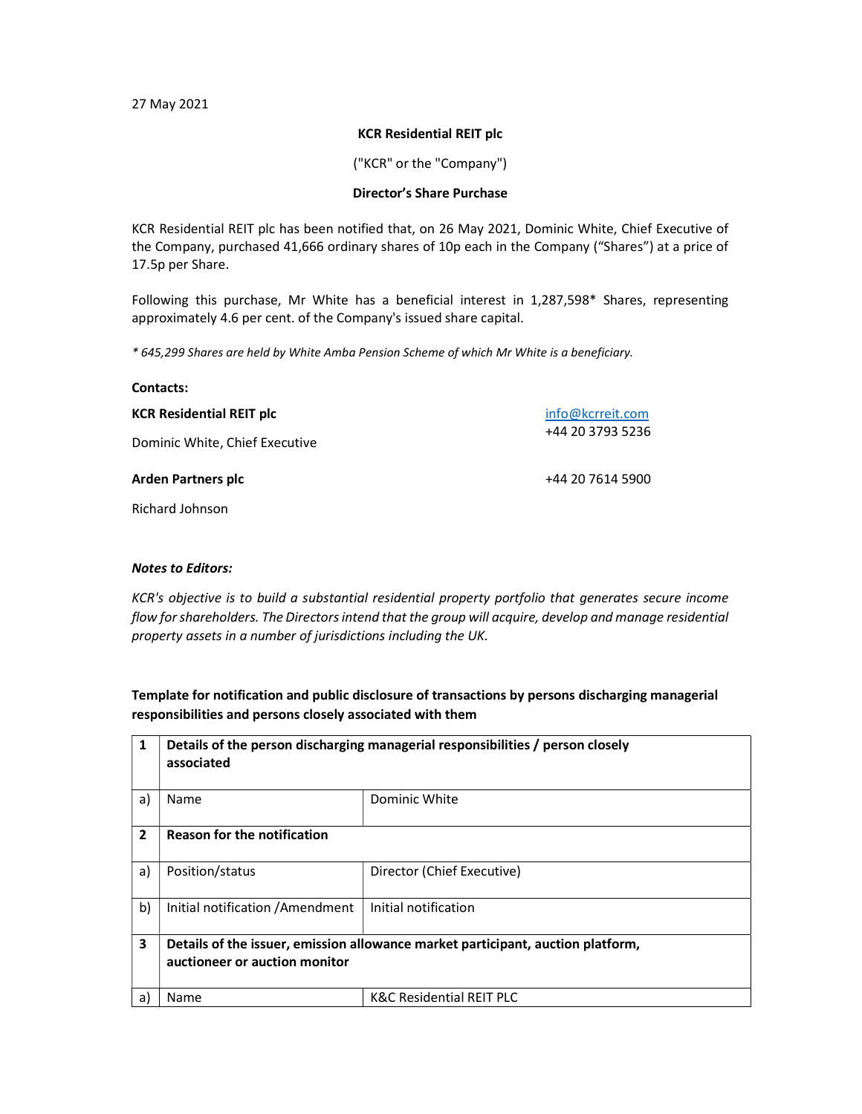27 May 2021

## KCR Residential REIT plc

("KCR" or the "Company")

## Director's Share Purchase

KCR Residential REIT plc has been notified that, on 26 May 2021, Dominic White, Chief Executive of the Company, purchased 41,666 ordinary shares of 10p each in the Company ("Shares") at a price of 17.5p per Share.

Following this purchase, Mr White has a beneficial interest in 1,287,598\* Shares, representing approximately 4.6 per cent. of the Company's issued share capital.

\* 645,299 Shares are held by White Amba Pension Scheme of which Mr White is a beneficiary.

| <b>Contacts:</b>                |                  |  |
|---------------------------------|------------------|--|
| <b>KCR Residential REIT plc</b> | info@kcrreit.com |  |
| Dominic White, Chief Executive  | +44 20 3793 5236 |  |
| <b>Arden Partners plc</b>       | +44 20 7614 5900 |  |

Richard Johnson

## Notes to Editors:

KCR's objective is to build a substantial residential property portfolio that generates secure income flow for shareholders. The Directors intend that the group will acquire, develop and manage residential property assets in a number of jurisdictions including the UK.

Template for notification and public disclosure of transactions by persons discharging managerial responsibilities and persons closely associated with them

| 1              | Details of the person discharging managerial responsibilities / person closely<br>associated                     |                                     |
|----------------|------------------------------------------------------------------------------------------------------------------|-------------------------------------|
| a)             | Name                                                                                                             | Dominic White                       |
| $\overline{2}$ | <b>Reason for the notification</b>                                                                               |                                     |
| a)             | Position/status                                                                                                  | Director (Chief Executive)          |
| b)             | Initial notification / Amendment                                                                                 | Initial notification                |
| 3              | Details of the issuer, emission allowance market participant, auction platform,<br>auctioneer or auction monitor |                                     |
| a)             | Name                                                                                                             | <b>K&amp;C Residential REIT PLC</b> |